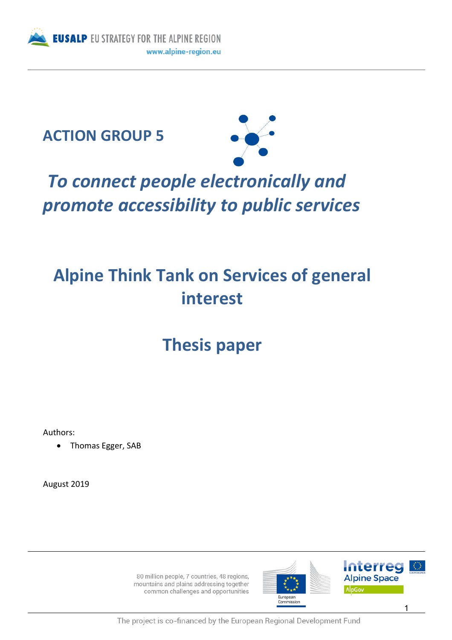





# *To connect people electronically and promote accessibility to public services*

## **Alpine Think Tank on Services of general interest**

### **Thesis paper**

Authors:

• Thomas Egger, SAB

August 2019

80 million people, 7 countries, 48 regions, mountains and plains addressing together common challenges and opportunities





The project is co-financed by the European Regional Development Fund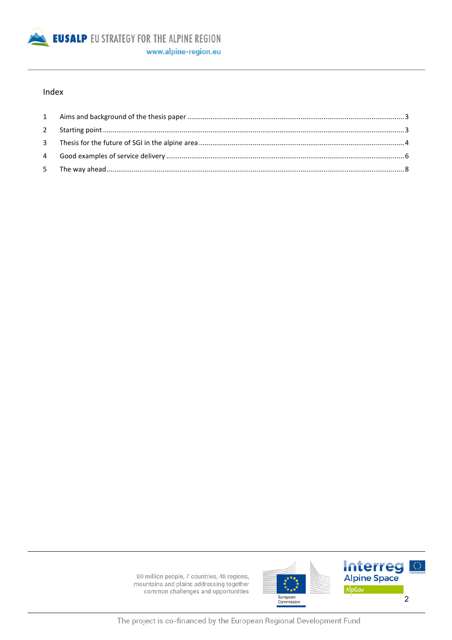

#### Index



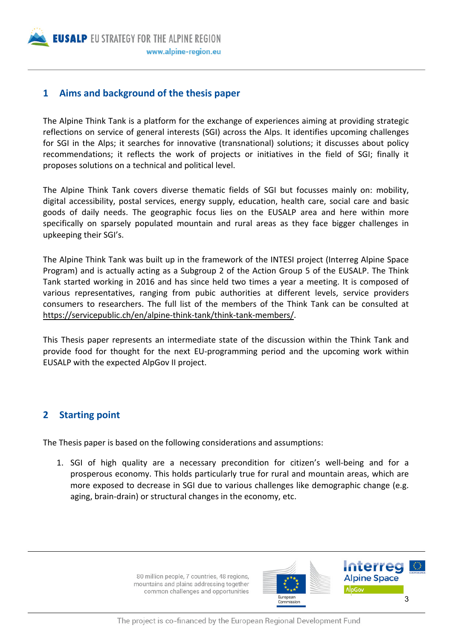**EUSALP EU STRATEGY FOR THE ALPINE REGION** www.alpine-region.eu

#### **1 Aims and background of the thesis paper**

The Alpine Think Tank is a platform for the exchange of experiences aiming at providing strategic reflections on service of general interests (SGI) across the Alps. It identifies upcoming challenges for SGI in the Alps; it searches for innovative (transnational) solutions; it discusses about policy recommendations; it reflects the work of projects or initiatives in the field of SGI; finally it proposes solutions on a technical and political level.

The Alpine Think Tank covers diverse thematic fields of SGI but focusses mainly on: mobility, digital accessibility, postal services, energy supply, education, health care, social care and basic goods of daily needs. The geographic focus lies on the EUSALP area and here within more specifically on sparsely populated mountain and rural areas as they face bigger challenges in upkeeping their SGI's.

The Alpine Think Tank was built up in the framework of the INTESI project (Interreg Alpine Space Program) and is actually acting as a Subgroup 2 of the Action Group 5 of the EUSALP. The Think Tank started working in 2016 and has since held two times a year a meeting. It is composed of various representatives, ranging from pubic authorities at different levels, service providers consumers to researchers. The full list of the members of the Think Tank can be consulted at https://servicepublic.ch/en/alpine-think-tank/think-tank-members/.

This Thesis paper represents an intermediate state of the discussion within the Think Tank and provide food for thought for the next EU-programming period and the upcoming work within EUSALP with the expected AlpGov II project.

#### **2 Starting point**

The Thesis paper is based on the following considerations and assumptions:

1. SGI of high quality are a necessary precondition for citizen's well-being and for a prosperous economy. This holds particularly true for rural and mountain areas, which are more exposed to decrease in SGI due to various challenges like demographic change (e.g. aging, brain-drain) or structural changes in the economy, etc.



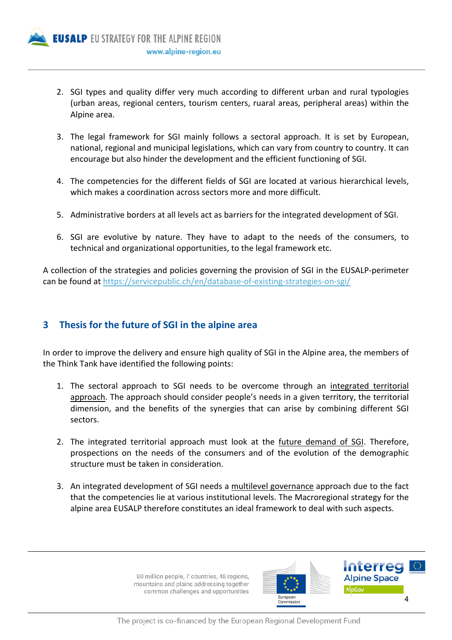

- 2. SGI types and quality differ very much according to different urban and rural typologies (urban areas, regional centers, tourism centers, ruaral areas, peripheral areas) within the Alpine area.
- 3. The legal framework for SGI mainly follows a sectoral approach. It is set by European, national, regional and municipal legislations, which can vary from country to country. It can encourage but also hinder the development and the efficient functioning of SGI.
- 4. The competencies for the different fields of SGI are located at various hierarchical levels, which makes a coordination across sectors more and more difficult.
- 5. Administrative borders at all levels act as barriers for the integrated development of SGI.
- 6. SGI are evolutive by nature. They have to adapt to the needs of the consumers, to technical and organizational opportunities, to the legal framework etc.

A collection of the strategies and policies governing the provision of SGI in the EUSALP-perimeter can be found at https://servicepublic.ch/en/database-of-existing-strategies-on-sgi/

#### **3 Thesis for the future of SGI in the alpine area**

In order to improve the delivery and ensure high quality of SGI in the Alpine area, the members of the Think Tank have identified the following points:

- 1. The sectoral approach to SGI needs to be overcome through an integrated territorial approach. The approach should consider people's needs in a given territory, the territorial dimension, and the benefits of the synergies that can arise by combining different SGI sectors.
- 2. The integrated territorial approach must look at the future demand of SGI. Therefore, prospections on the needs of the consumers and of the evolution of the demographic structure must be taken in consideration.
- 3. An integrated development of SGI needs a multilevel governance approach due to the fact that the competencies lie at various institutional levels. The Macroregional strategy for the alpine area EUSALP therefore constitutes an ideal framework to deal with such aspects.



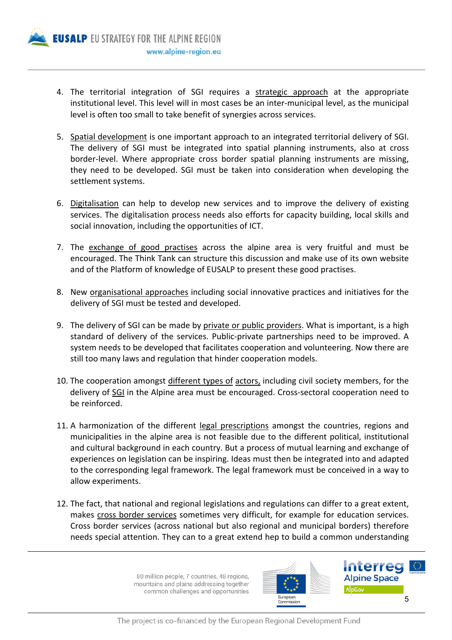

- 4. The territorial integration of SGI requires a strategic approach at the appropriate institutional level. This level will in most cases be an inter-municipal level, as the municipal level is often too small to take benefit of synergies across services.
- 5. Spatial development is one important approach to an integrated territorial delivery of SGI. The delivery of SGI must be integrated into spatial planning instruments, also at cross border-level. Where appropriate cross border spatial planning instruments are missing, they need to be developed. SGI must be taken into consideration when developing the settlement systems.
- 6. Digitalisation can help to develop new services and to improve the delivery of existing services. The digitalisation process needs also efforts for capacity building, local skills and social innovation, including the opportunities of ICT.
- 7. The exchange of good practises across the alpine area is very fruitful and must be encouraged. The Think Tank can structure this discussion and make use of its own website and of the Platform of knowledge of EUSALP to present these good practises.
- 8. New organisational approaches including social innovative practices and initiatives for the delivery of SGI must be tested and developed.
- 9. The delivery of SGI can be made by private or public providers. What is important, is a high standard of delivery of the services. Public-private partnerships need to be improved. A system needs to be developed that facilitates cooperation and volunteering. Now there are still too many laws and regulation that hinder cooperation models.
- 10. The cooperation amongst different types of actors, including civil society members, for the delivery of SGI in the Alpine area must be encouraged. Cross-sectoral cooperation need to be reinforced.
- 11. A harmonization of the different legal prescriptions amongst the countries, regions and municipalities in the alpine area is not feasible due to the different political, institutional and cultural background in each country. But a process of mutual learning and exchange of experiences on legislation can be inspiring. Ideas must then be integrated into and adapted to the corresponding legal framework. The legal framework must be conceived in a way to allow experiments.
- 12. The fact, that national and regional legislations and regulations can differ to a great extent, makes cross border services sometimes very difficult, for example for education services. Cross border services (across national but also regional and municipal borders) therefore needs special attention. They can to a great extend hep to build a common understanding



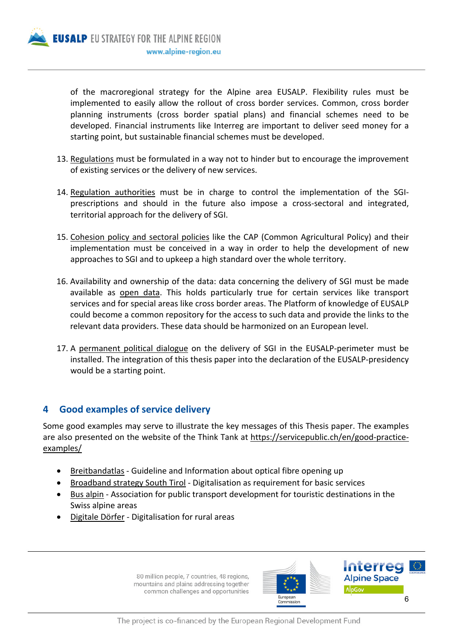

of the macroregional strategy for the Alpine area EUSALP. Flexibility rules must be implemented to easily allow the rollout of cross border services. Common, cross border planning instruments (cross border spatial plans) and financial schemes need to be developed. Financial instruments like Interreg are important to deliver seed money for a starting point, but sustainable financial schemes must be developed.

- 13. Regulations must be formulated in a way not to hinder but to encourage the improvement of existing services or the delivery of new services.
- 14. Regulation authorities must be in charge to control the implementation of the SGIprescriptions and should in the future also impose a cross-sectoral and integrated, territorial approach for the delivery of SGI.
- 15. Cohesion policy and sectoral policies like the CAP (Common Agricultural Policy) and their implementation must be conceived in a way in order to help the development of new approaches to SGI and to upkeep a high standard over the whole territory.
- 16. Availability and ownership of the data: data concerning the delivery of SGI must be made available as open data. This holds particularly true for certain services like transport services and for special areas like cross border areas. The Platform of knowledge of EUSALP could become a common repository for the access to such data and provide the links to the relevant data providers. These data should be harmonized on an European level.
- 17. A permanent political dialogue on the delivery of SGI in the EUSALP-perimeter must be installed. The integration of this thesis paper into the declaration of the EUSALP-presidency would be a starting point.

### **4 Good examples of service delivery**

Some good examples may serve to illustrate the key messages of this Thesis paper. The examples are also presented on the website of the Think Tank at https://servicepublic.ch/en/good-practiceexamples/

- Breitbandatlas Guideline and Information about optical fibre opening up
- Broadband strategy South Tirol Digitalisation as requirement for basic services
- Bus alpin Association for public transport development for touristic destinations in the Swiss alpine areas
- Digitale Dörfer Digitalisation for rural areas



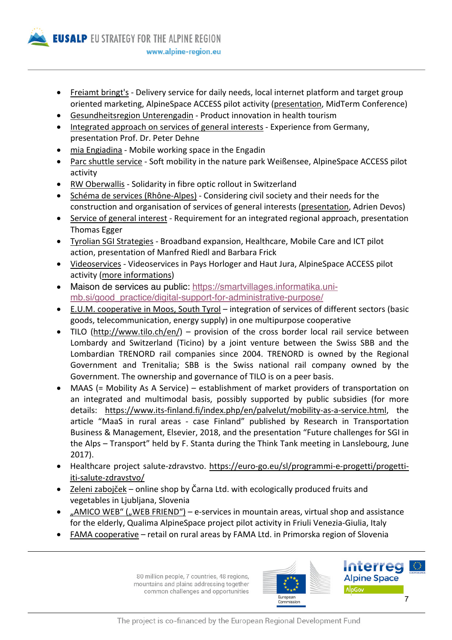

- Freiamt bringt's Delivery service for daily needs, local internet platform and target group oriented marketing, AlpineSpace ACCESS pilot activity (presentation, MidTerm Conference)
- Gesundheitsregion Unterengadin Product innovation in health tourism
- Integrated approach on services of general interests Experience from Germany, presentation Prof. Dr. Peter Dehne
- mia Engiadina Mobile working space in the Engadin
- Parc shuttle service Soft mobility in the nature park Weißensee, AlpineSpace ACCESS pilot activity
- RW Oberwallis Solidarity in fibre optic rollout in Switzerland
- Schéma de services (Rhône-Alpes) Considering civil society and their needs for the construction and organisation of services of general interests (presentation, Adrien Devos)
- Service of general interest Requirement for an integrated regional approach, presentation Thomas Egger
- Tyrolian SGI Strategies Broadband expansion, Healthcare, Mobile Care and ICT pilot action, presentation of Manfred Riedl and Barbara Frick
- Videoservices Videoservices in Pays Horloger and Haut Jura, AlpineSpace ACCESS pilot activity (more informations)
- Maison de services au public: https://smartvillages.informatika.unimb.si/good\_practice/digital-support-for-administrative-purpose/
- E.U.M. cooperative in Moos, South Tyrol integration of services of different sectors (basic goods, telecommunication, energy supply) in one multipurpose cooperative
- TILO (http://www.tilo.ch/en/) provision of the cross border local rail service between Lombardy and Switzerland (Ticino) by a joint venture between the Swiss SBB and the Lombardian TRENORD rail companies since 2004. TRENORD is owned by the Regional Government and Trenitalia; SBB is the Swiss national rail company owned by the Government. The ownership and governance of TILO is on a peer basis.
- MAAS (= Mobility As A Service) establishment of market providers of transportation on an integrated and multimodal basis, possibly supported by public subsidies (for more details: https://www.its-finland.fi/index.php/en/palvelut/mobility-as-a-service.html, the article "MaaS in rural areas - case Finland" published by Research in Transportation Business & Management, Elsevier, 2018, and the presentation "Future challenges for SGI in the Alps – Transport" held by F. Stanta during the Think Tank meeting in Lanslebourg, June 2017).
- Healthcare project salute-zdravstvo. https://euro-go.eu/sl/programmi-e-progetti/progettiiti-salute-zdravstvo/
- Zeleni zabojček online shop by Čarna Ltd. with ecologically produced fruits and vegetables in Ljubljana, Slovenia
- "AMICO WEB" ("WEB FRIEND") e-services in mountain areas, virtual shop and assistance for the elderly, Qualima AlpineSpace project pilot activity in Friuli Venezia-Giulia, Italy
- FAMA cooperative retail on rural areas by FAMA Ltd. in Primorska region of Slovenia